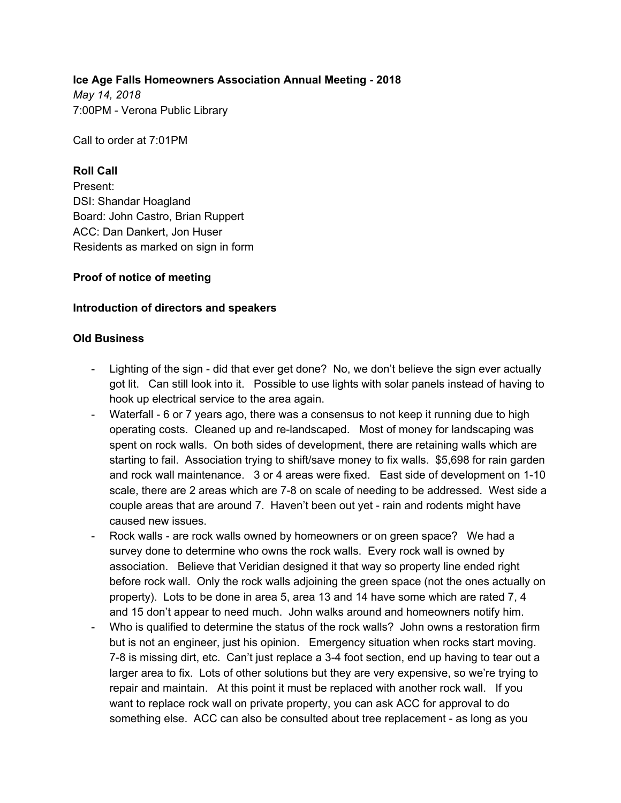**Ice Age Falls Homeowners Association Annual Meeting - 2018** *May 14, 2018* 7:00PM - Verona Public Library

Call to order at 7:01PM

# **Roll Call**

Present: DSI: Shandar Hoagland Board: John Castro, Brian Ruppert ACC: Dan Dankert, Jon Huser Residents as marked on sign in form

## **Proof of notice of meeting**

### **Introduction of directors and speakers**

### **Old Business**

- Lighting of the sign did that ever get done? No, we don't believe the sign ever actually got lit. Can still look into it. Possible to use lights with solar panels instead of having to hook up electrical service to the area again.
- Waterfall 6 or 7 years ago, there was a consensus to not keep it running due to high operating costs. Cleaned up and re-landscaped. Most of money for landscaping was spent on rock walls. On both sides of development, there are retaining walls which are starting to fail. Association trying to shift/save money to fix walls. \$5,698 for rain garden and rock wall maintenance. 3 or 4 areas were fixed. East side of development on 1-10 scale, there are 2 areas which are 7-8 on scale of needing to be addressed. West side a couple areas that are around 7. Haven't been out yet - rain and rodents might have caused new issues.
- Rock walls are rock walls owned by homeowners or on green space? We had a survey done to determine who owns the rock walls. Every rock wall is owned by association. Believe that Veridian designed it that way so property line ended right before rock wall. Only the rock walls adjoining the green space (not the ones actually on property). Lots to be done in area 5, area 13 and 14 have some which are rated 7, 4 and 15 don't appear to need much. John walks around and homeowners notify him.
- Who is qualified to determine the status of the rock walls? John owns a restoration firm but is not an engineer, just his opinion. Emergency situation when rocks start moving. 7-8 is missing dirt, etc. Can't just replace a 3-4 foot section, end up having to tear out a larger area to fix. Lots of other solutions but they are very expensive, so we're trying to repair and maintain. At this point it must be replaced with another rock wall. If you want to replace rock wall on private property, you can ask ACC for approval to do something else. ACC can also be consulted about tree replacement - as long as you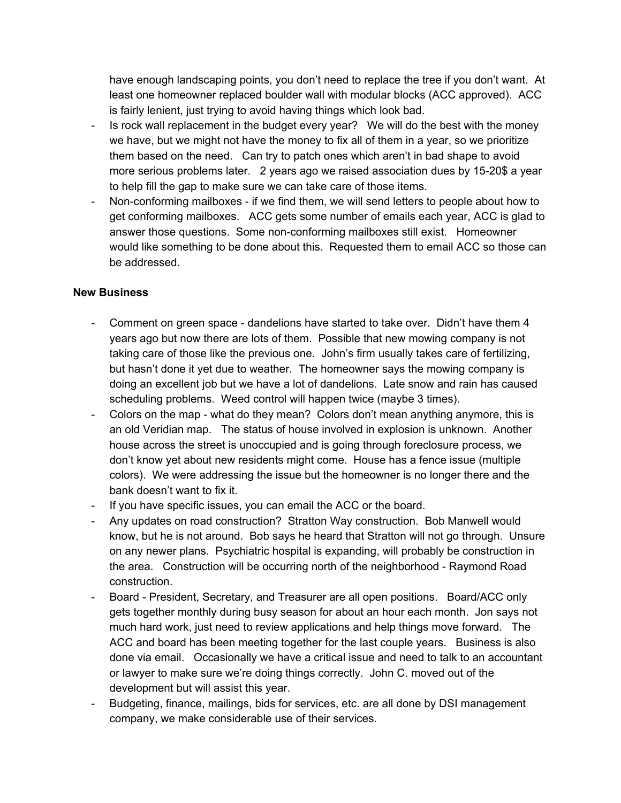have enough landscaping points, you don't need to replace the tree if you don't want. At least one homeowner replaced boulder wall with modular blocks (ACC approved). ACC is fairly lenient, just trying to avoid having things which look bad.

- Is rock wall replacement in the budget every year? We will do the best with the money we have, but we might not have the money to fix all of them in a year, so we prioritize them based on the need. Can try to patch ones which aren't in bad shape to avoid more serious problems later. 2 years ago we raised association dues by 15-20\$ a year to help fill the gap to make sure we can take care of those items.
- Non-conforming mailboxes if we find them, we will send letters to people about how to get conforming mailboxes. ACC gets some number of emails each year, ACC is glad to answer those questions. Some non-conforming mailboxes still exist. Homeowner would like something to be done about this. Requested them to email ACC so those can be addressed.

### **New Business**

- Comment on green space dandelions have started to take over. Didn't have them 4 years ago but now there are lots of them. Possible that new mowing company is not taking care of those like the previous one. John's firm usually takes care of fertilizing, but hasn't done it yet due to weather. The homeowner says the mowing company is doing an excellent job but we have a lot of dandelions. Late snow and rain has caused scheduling problems. Weed control will happen twice (maybe 3 times).
- Colors on the map what do they mean? Colors don't mean anything anymore, this is an old Veridian map. The status of house involved in explosion is unknown. Another house across the street is unoccupied and is going through foreclosure process, we don't know yet about new residents might come. House has a fence issue (multiple colors). We were addressing the issue but the homeowner is no longer there and the bank doesn't want to fix it.
- If you have specific issues, you can email the ACC or the board.
- Any updates on road construction? Stratton Way construction. Bob Manwell would know, but he is not around. Bob says he heard that Stratton will not go through. Unsure on any newer plans. Psychiatric hospital is expanding, will probably be construction in the area. Construction will be occurring north of the neighborhood - Raymond Road construction.
- Board President, Secretary, and Treasurer are all open positions. Board/ACC only gets together monthly during busy season for about an hour each month. Jon says not much hard work, just need to review applications and help things move forward. The ACC and board has been meeting together for the last couple years. Business is also done via email. Occasionally we have a critical issue and need to talk to an accountant or lawyer to make sure we're doing things correctly. John C. moved out of the development but will assist this year.
- Budgeting, finance, mailings, bids for services, etc. are all done by DSI management company, we make considerable use of their services.